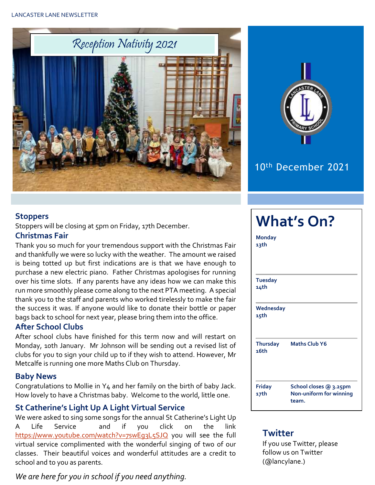



### 10th December 2021

**What's On?**

#### **Stoppers**

Stoppers will be closing at 5pm on Friday, 17th December.

#### **Christmas Fair**

Thank you so much for your tremendous support with the Christmas Fair and thankfully we were so lucky with the weather. The amount we raised is being totted up but first indications are is that we have enough to purchase a new electric piano. Father Christmas apologises for running over his time slots. If any parents have any ideas how we can make this run more smoothly please come along to the next PTA meeting. A special thank you to the staff and parents who worked tirelessly to make the fair the success it was. If anyone would like to donate their bottle or paper bags back to school for next year, please bring them into the office.

#### **After School Clubs**

After school clubs have finished for this term now and will restart on Monday, 10th January. Mr Johnson will be sending out a revised list of clubs for you to sign your child up to if they wish to attend. However, Mr Metcalfe is running one more Maths Club on Thursday.

#### **Baby News**

Congratulations to Mollie in Y4 and her family on the birth of baby Jack. How lovely to have a Christmas baby. Welcome to the world, little one.

#### **St Catherine's Light Up A Light Virtual Service**

We were asked to sing some songs for the annual St Catherine's Light Up A Life Service and if you click on the link [https://www.youtube.com/watch?v=7swEg3L5SJQ](https://www.youtube.com/watch?v=7swEg3L5SJQ%20) you will see the full virtual service complimented with the wonderful singing of two of our classes. Their beautiful voices and wonderful attitudes are a credit to school and to you as parents.

#### *We are here for you in school if you need anything.*

| <b>Monday</b><br>13th   |                                                            |
|-------------------------|------------------------------------------------------------|
| <b>Tuesday</b><br>14th  |                                                            |
| Wednesday<br>15th       |                                                            |
| <b>Thursday</b><br>16th | <b>Maths Club Y6</b>                                       |
| <b>Friday</b><br>17th   | School closes @ 3.25pm<br>Non-uniform for winning<br>team. |

#### **Twitter**

If you use Twitter, please follow us on Twitter (@lancylane.)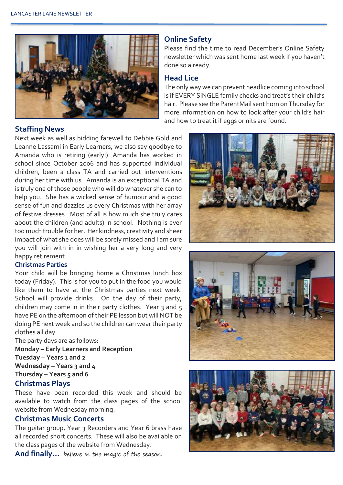

#### **Online Safety**

Please find the time to read December's Online Safety newsletter which was sent home last week if you haven't done so already.

#### **Head Lice**

The only way we can prevent headlice coming into school is if EVERY SINGLE family checks and treat's their child's hair. Please see the ParentMail sent hom on Thursday for more information on how to look after your child's hair and how to treat it if eggs or nits are found.

#### **Staffing News**

Next week as well as bidding farewell to Debbie Gold and Leanne Lassami in Early Learners, we also say goodbye to Amanda who is retiring (early!). Amanda has worked in school since October 2006 and has supported individual children, been a class TA and carried out interventions during her time with us. Amanda is an exceptional TA and is truly one of those people who will do whatever she can to help you. She has a wicked sense of humour and a good sense of fun and dazzles us every Christmas with her array of festive dresses. Most of all is how much she truly cares about the children (and adults) in school. Nothing is ever too much trouble for her. Her kindness, creativity and sheer impact of what she does will be sorely missed and I am sure you will join with in in wishing her a very long and very happy retirement.

#### **Christmas Parties**

Your child will be bringing home a Christmas lunch box today (Friday). This is for you to put in the food you would like them to have at the Christmas parties next week. School will provide drinks. On the day of their party, children may come in in their party clothes. Year 3 and  $5$ have PE on the afternoon of their PE lesson but will NOT be doing PE next week and so the children can wear their party clothes all day.

The party days are as follows:

**Monday – Early Learners and Reception Tuesday – Years 1 and 2 Wednesday – Years 3 and 4 Thursday – Years 5 and 6**

#### **Christmas Plays**

These have been recorded this week and should be available to watch from the class pages of the school website from Wednesday morning.

#### **Christmas Music Concerts**

The guitar group, Year 3 Recorders and Year 6 brass have all recorded short concerts. These will also be available on the class pages of the website from Wednesday.

**And finally…** believe in the magic of the season.